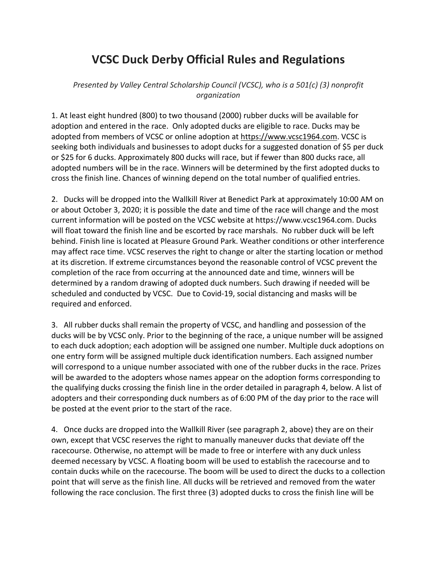## **VCSC Duck Derby Official Rules and Regulations**

*Presented by Valley Central Scholarship Council (VCSC), who is a 501(c) (3) nonprofit organization*

1. At least eight hundred (800) to two thousand (2000) rubber ducks will be available for adoption and entered in the race. Only adopted ducks are eligible to race. Ducks may be adopted from members of VCSC or online adoption at https://www.vcsc1964.com. VCSC is seeking both individuals and businesses to adopt ducks for a suggested donation of \$5 per duck or \$25 for 6 ducks. Approximately 800 ducks will race, but if fewer than 800 ducks race, all adopted numbers will be in the race. Winners will be determined by the first adopted ducks to cross the finish line. Chances of winning depend on the total number of qualified entries.

2. Ducks will be dropped into the Wallkill River at Benedict Park at approximately 10:00 AM on or about October 3, 2020; it is possible the date and time of the race will change and the most current information will be posted on the VCSC website at https://www.vcsc1964.com. Ducks will float toward the finish line and be escorted by race marshals. No rubber duck will be left behind. Finish line is located at Pleasure Ground Park. Weather conditions or other interference may affect race time. VCSC reserves the right to change or alter the starting location or method at its discretion. If extreme circumstances beyond the reasonable control of VCSC prevent the completion of the race from occurring at the announced date and time, winners will be determined by a random drawing of adopted duck numbers. Such drawing if needed will be scheduled and conducted by VCSC. Due to Covid-19, social distancing and masks will be required and enforced.

3. All rubber ducks shall remain the property of VCSC, and handling and possession of the ducks will be by VCSC only. Prior to the beginning of the race, a unique number will be assigned to each duck adoption; each adoption will be assigned one number. Multiple duck adoptions on one entry form will be assigned multiple duck identification numbers. Each assigned number will correspond to a unique number associated with one of the rubber ducks in the race. Prizes will be awarded to the adopters whose names appear on the adoption forms corresponding to the qualifying ducks crossing the finish line in the order detailed in paragraph 4, below. A list of adopters and their corresponding duck numbers as of 6:00 PM of the day prior to the race will be posted at the event prior to the start of the race.

4. Once ducks are dropped into the Wallkill River (see paragraph 2, above) they are on their own, except that VCSC reserves the right to manually maneuver ducks that deviate off the racecourse. Otherwise, no attempt will be made to free or interfere with any duck unless deemed necessary by VCSC. A floating boom will be used to establish the racecourse and to contain ducks while on the racecourse. The boom will be used to direct the ducks to a collection point that will serve as the finish line. All ducks will be retrieved and removed from the water following the race conclusion. The first three (3) adopted ducks to cross the finish line will be